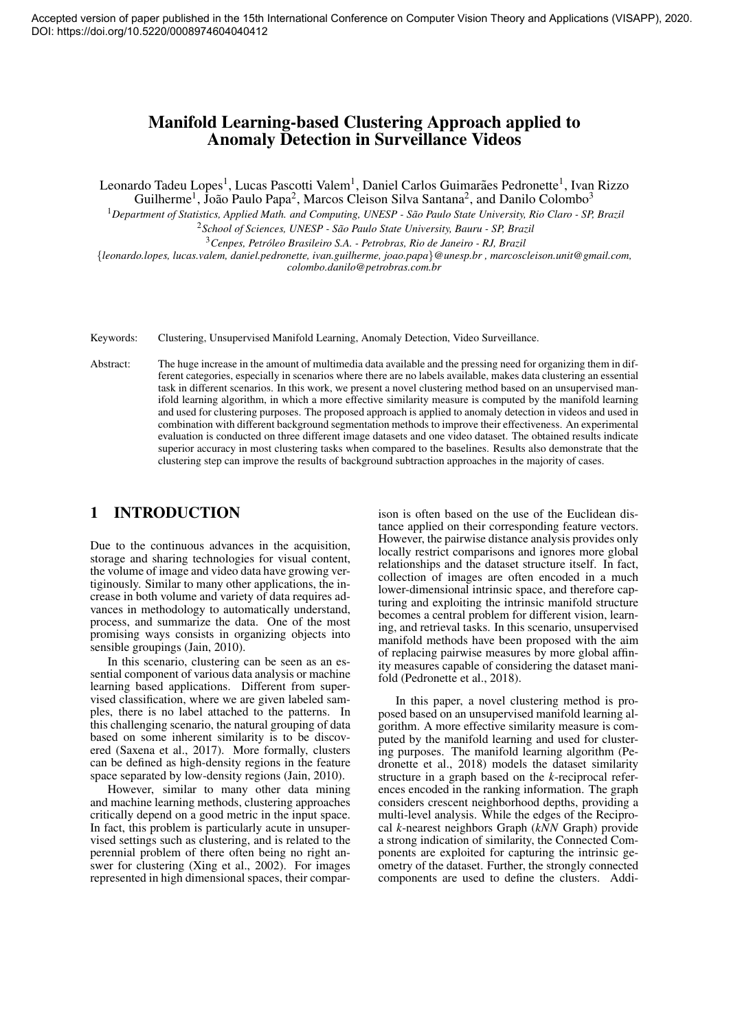# Manifold Learning-based Clustering Approach applied to Anomaly Detection in Surveillance Videos

Leonardo Tadeu Lopes<sup>1</sup>, Lucas Pascotti Valem<sup>1</sup>, Daniel Carlos Guimarães Pedronette<sup>1</sup>, Ivan Rizzo Guilherme<sup>1</sup>, João Paulo Papa<sup>2</sup>, Marcos Cleison Silva Santana<sup>2</sup>, and Danilo Colombo<sup>3</sup>

<sup>1</sup>*Department of Statistics, Applied Math. and Computing, UNESP - Sao Paulo State University, Rio Claro - SP, Brazil ˜*

<sup>2</sup>*School of Sciences, UNESP - Sao Paulo State University, Bauru - SP, Brazil ˜*

<sup>3</sup>*Cenpes, Petroleo Brasileiro S.A. - Petrobras, Rio de Janeiro - RJ, Brazil ´*

{*leonardo.lopes, lucas.valem, daniel.pedronette, ivan.guilherme, joao.papa*}*@unesp.br , marcoscleison.unit@gmail.com, colombo.danilo@petrobras.com.br*

Keywords: Clustering, Unsupervised Manifold Learning, Anomaly Detection, Video Surveillance.

Abstract: The huge increase in the amount of multimedia data available and the pressing need for organizing them in different categories, especially in scenarios where there are no labels available, makes data clustering an essential task in different scenarios. In this work, we present a novel clustering method based on an unsupervised manifold learning algorithm, in which a more effective similarity measure is computed by the manifold learning and used for clustering purposes. The proposed approach is applied to anomaly detection in videos and used in combination with different background segmentation methods to improve their effectiveness. An experimental evaluation is conducted on three different image datasets and one video dataset. The obtained results indicate superior accuracy in most clustering tasks when compared to the baselines. Results also demonstrate that the clustering step can improve the results of background subtraction approaches in the majority of cases.

# 1 INTRODUCTION

Due to the continuous advances in the acquisition, storage and sharing technologies for visual content, the volume of image and video data have growing vertiginously. Similar to many other applications, the increase in both volume and variety of data requires advances in methodology to automatically understand, process, and summarize the data. One of the most promising ways consists in organizing objects into sensible groupings (Jain, 2010).

In this scenario, clustering can be seen as an essential component of various data analysis or machine learning based applications. Different from supervised classification, where we are given labeled samples, there is no label attached to the patterns. In this challenging scenario, the natural grouping of data based on some inherent similarity is to be discovered (Saxena et al., 2017). More formally, clusters can be defined as high-density regions in the feature space separated by low-density regions (Jain, 2010).

However, similar to many other data mining and machine learning methods, clustering approaches critically depend on a good metric in the input space. In fact, this problem is particularly acute in unsupervised settings such as clustering, and is related to the perennial problem of there often being no right answer for clustering (Xing et al., 2002). For images represented in high dimensional spaces, their compar-

ison is often based on the use of the Euclidean distance applied on their corresponding feature vectors. However, the pairwise distance analysis provides only locally restrict comparisons and ignores more global relationships and the dataset structure itself. In fact, collection of images are often encoded in a much lower-dimensional intrinsic space, and therefore capturing and exploiting the intrinsic manifold structure becomes a central problem for different vision, learning, and retrieval tasks. In this scenario, unsupervised manifold methods have been proposed with the aim of replacing pairwise measures by more global affinity measures capable of considering the dataset manifold (Pedronette et al., 2018).

In this paper, a novel clustering method is proposed based on an unsupervised manifold learning algorithm. A more effective similarity measure is computed by the manifold learning and used for clustering purposes. The manifold learning algorithm (Pedronette et al., 2018) models the dataset similarity structure in a graph based on the *k*-reciprocal references encoded in the ranking information. The graph considers crescent neighborhood depths, providing a multi-level analysis. While the edges of the Reciprocal *k*-nearest neighbors Graph (*kNN* Graph) provide a strong indication of similarity, the Connected Components are exploited for capturing the intrinsic geometry of the dataset. Further, the strongly connected components are used to define the clusters. Addi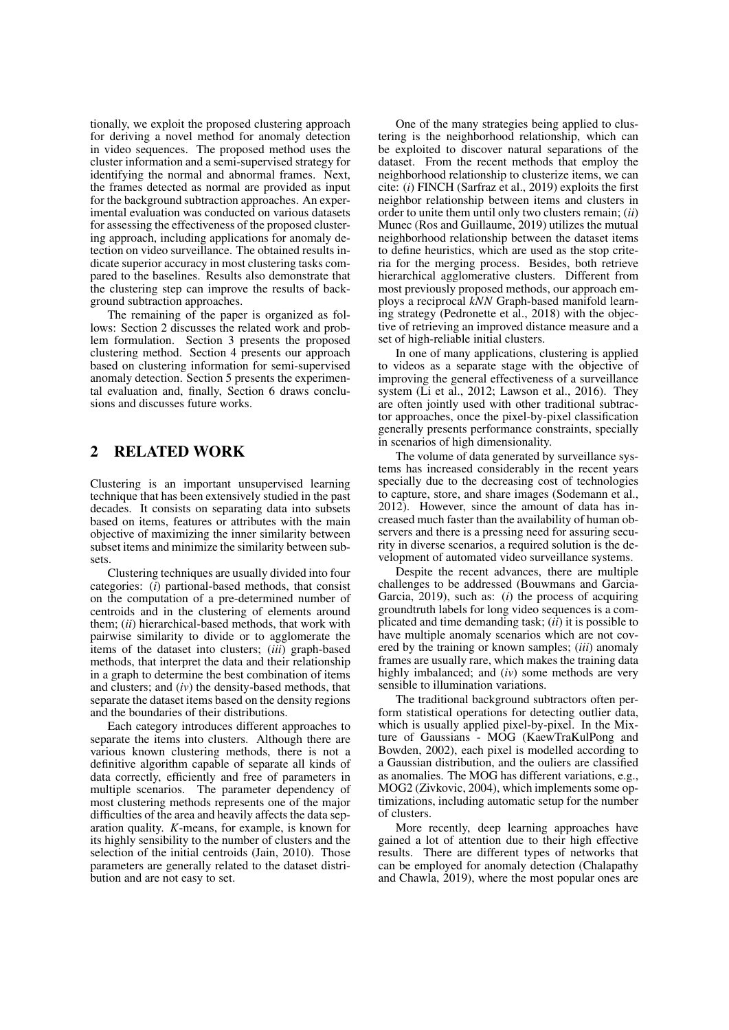tionally, we exploit the proposed clustering approach for deriving a novel method for anomaly detection in video sequences. The proposed method uses the cluster information and a semi-supervised strategy for identifying the normal and abnormal frames. Next, the frames detected as normal are provided as input for the background subtraction approaches. An experimental evaluation was conducted on various datasets for assessing the effectiveness of the proposed clustering approach, including applications for anomaly detection on video surveillance. The obtained results indicate superior accuracy in most clustering tasks compared to the baselines. Results also demonstrate that the clustering step can improve the results of background subtraction approaches.

The remaining of the paper is organized as follows: Section 2 discusses the related work and problem formulation. Section 3 presents the proposed clustering method. Section 4 presents our approach based on clustering information for semi-supervised anomaly detection. Section 5 presents the experimental evaluation and, finally, Section 6 draws conclusions and discusses future works.

# 2 RELATED WORK

Clustering is an important unsupervised learning technique that has been extensively studied in the past decades. It consists on separating data into subsets based on items, features or attributes with the main objective of maximizing the inner similarity between subset items and minimize the similarity between subsets.

Clustering techniques are usually divided into four categories: (*i*) partional-based methods, that consist on the computation of a pre-determined number of centroids and in the clustering of elements around them; (*ii*) hierarchical-based methods, that work with pairwise similarity to divide or to agglomerate the items of the dataset into clusters; (*iii*) graph-based methods, that interpret the data and their relationship in a graph to determine the best combination of items and clusters; and (*iv*) the density-based methods, that separate the dataset items based on the density regions and the boundaries of their distributions.

Each category introduces different approaches to separate the items into clusters. Although there are various known clustering methods, there is not a definitive algorithm capable of separate all kinds of data correctly, efficiently and free of parameters in multiple scenarios. The parameter dependency of most clustering methods represents one of the major difficulties of the area and heavily affects the data separation quality. *K*-means, for example, is known for its highly sensibility to the number of clusters and the selection of the initial centroids (Jain, 2010). Those parameters are generally related to the dataset distribution and are not easy to set.

One of the many strategies being applied to clustering is the neighborhood relationship, which can be exploited to discover natural separations of the dataset. From the recent methods that employ the neighborhood relationship to clusterize items, we can cite: (*i*) FINCH (Sarfraz et al., 2019) exploits the first neighbor relationship between items and clusters in order to unite them until only two clusters remain; (*ii*) Munec (Ros and Guillaume, 2019) utilizes the mutual neighborhood relationship between the dataset items to define heuristics, which are used as the stop criteria for the merging process. Besides, both retrieve hierarchical agglomerative clusters. Different from most previously proposed methods, our approach employs a reciprocal *kNN* Graph-based manifold learning strategy (Pedronette et al., 2018) with the objective of retrieving an improved distance measure and a set of high-reliable initial clusters.

In one of many applications, clustering is applied to videos as a separate stage with the objective of improving the general effectiveness of a surveillance system (Li et al., 2012; Lawson et al., 2016). They are often jointly used with other traditional subtractor approaches, once the pixel-by-pixel classification generally presents performance constraints, specially in scenarios of high dimensionality.

The volume of data generated by surveillance systems has increased considerably in the recent years specially due to the decreasing cost of technologies to capture, store, and share images (Sodemann et al., 2012). However, since the amount of data has increased much faster than the availability of human observers and there is a pressing need for assuring security in diverse scenarios, a required solution is the development of automated video surveillance systems.

Despite the recent advances, there are multiple challenges to be addressed (Bouwmans and Garcia-Garcia, 2019), such as: (*i*) the process of acquiring groundtruth labels for long video sequences is a complicated and time demanding task; (*ii*) it is possible to have multiple anomaly scenarios which are not covered by the training or known samples; (*iii*) anomaly frames are usually rare, which makes the training data highly imbalanced; and (*iv*) some methods are very sensible to illumination variations.

The traditional background subtractors often perform statistical operations for detecting outlier data, which is usually applied pixel-by-pixel. In the Mixture of Gaussians - MOG (KaewTraKulPong and Bowden, 2002), each pixel is modelled according to a Gaussian distribution, and the ouliers are classified as anomalies. The MOG has different variations, e.g., MOG2 (Zivkovic, 2004), which implements some optimizations, including automatic setup for the number of clusters.

More recently, deep learning approaches have gained a lot of attention due to their high effective results. There are different types of networks that can be employed for anomaly detection (Chalapathy and Chawla, 2019), where the most popular ones are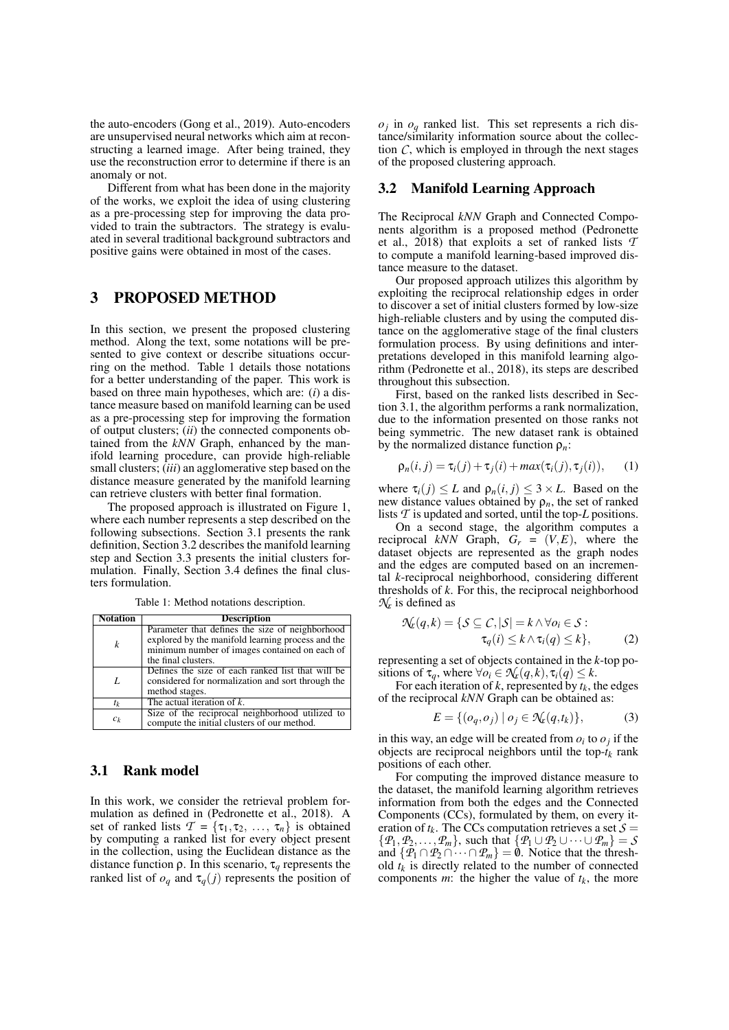the auto-encoders (Gong et al., 2019). Auto-encoders are unsupervised neural networks which aim at reconstructing a learned image. After being trained, they use the reconstruction error to determine if there is an anomaly or not.

Different from what has been done in the majority of the works, we exploit the idea of using clustering as a pre-processing step for improving the data provided to train the subtractors. The strategy is evaluated in several traditional background subtractors and positive gains were obtained in most of the cases.

## 3 PROPOSED METHOD

In this section, we present the proposed clustering method. Along the text, some notations will be presented to give context or describe situations occurring on the method. Table 1 details those notations for a better understanding of the paper. This work is based on three main hypotheses, which are: (*i*) a distance measure based on manifold learning can be used as a pre-processing step for improving the formation of output clusters; (*ii*) the connected components obtained from the *kNN* Graph, enhanced by the manifold learning procedure, can provide high-reliable small clusters; (*iii*) an agglomerative step based on the distance measure generated by the manifold learning can retrieve clusters with better final formation.

The proposed approach is illustrated on Figure 1, where each number represents a step described on the following subsections. Section 3.1 presents the rank definition, Section 3.2 describes the manifold learning step and Section 3.3 presents the initial clusters formulation. Finally, Section 3.4 defines the final clusters formulation.

Table 1: Method notations description.

| <b>Notation</b>    | <b>Description</b>                                                                                                                                                           |
|--------------------|------------------------------------------------------------------------------------------------------------------------------------------------------------------------------|
| k                  | Parameter that defines the size of neighborhood<br>explored by the manifold learning process and the<br>minimum number of images contained on each of<br>the final clusters. |
| $\boldsymbol{I}$ . | Defines the size of each ranked list that will be<br>considered for normalization and sort through the<br>method stages.                                                     |
| $t_k$              | The actual iteration of $k$ .                                                                                                                                                |
| $c_k$              | Size of the reciprocal neighborhood utilized to<br>compute the initial clusters of our method.                                                                               |

# 3.1 Rank model

In this work, we consider the retrieval problem formulation as defined in (Pedronette et al., 2018). A set of ranked lists  $\mathcal{T} = {\tau_1, \tau_2, ..., \tau_n}$  is obtained by computing a ranked list for every object present in the collection, using the Euclidean distance as the distance function ρ. In this scenario, τ*<sup>q</sup>* represents the ranked list of  $o_q$  and  $\tau_q(j)$  represents the position of

 $o_j$  in  $o_q$  ranked list. This set represents a rich distance/similarity information source about the collection  $C$ , which is employed in through the next stages of the proposed clustering approach.

#### 3.2 Manifold Learning Approach

The Reciprocal *kNN* Graph and Connected Components algorithm is a proposed method (Pedronette et al., 2018) that exploits a set of ranked lists *T* to compute a manifold learning-based improved distance measure to the dataset.

Our proposed approach utilizes this algorithm by exploiting the reciprocal relationship edges in order to discover a set of initial clusters formed by low-size high-reliable clusters and by using the computed distance on the agglomerative stage of the final clusters formulation process. By using definitions and interpretations developed in this manifold learning algorithm (Pedronette et al., 2018), its steps are described throughout this subsection.

First, based on the ranked lists described in Section 3.1, the algorithm performs a rank normalization, due to the information presented on those ranks not being symmetric. The new dataset rank is obtained by the normalized distance function ρ*n*:

$$
\rho_n(i,j) = \tau_i(j) + \tau_j(i) + \max(\tau_i(j), \tau_j(i)), \quad (1)
$$

where  $\tau_i(j) \leq L$  and  $\rho_n(i, j) \leq 3 \times L$ . Based on the new distance values obtained by  $\rho_n$ , the set of ranked lists *T* is updated and sorted, until the top-*L* positions.

On a second stage, the algorithm computes a reciprocal  $kNN$  Graph,  $G_r = (V, E)$ , where the dataset objects are represented as the graph nodes and the edges are computed based on an incremental *k*-reciprocal neighborhood, considering different thresholds of *k*. For this, the reciprocal neighborhood  $\mathcal{N}_r$  is defined as

$$
\mathcal{N}_k(q,k) = \{ \mathcal{S} \subseteq \mathcal{C}, |\mathcal{S}| = k \land \forall o_i \in \mathcal{S} : \tau_q(i) \leq k \land \tau_i(q) \leq k \},
$$
\n(2)

representing a set of objects contained in the *k*-top positions of  $\tau_q$ , where  $\forall o_i \in \mathcal{N}_r(q, k), \tau_i(q) \leq k$ .

For each iteration of *k*, represented by *tk*, the edges of the reciprocal *kNN* Graph can be obtained as:

$$
E = \{ (o_q, o_j) \mid o_j \in \mathcal{N}_k(q, t_k) \},\tag{3}
$$

in this way, an edge will be created from  $o_i$  to  $o_j$  if the objects are reciprocal neighbors until the top-*t<sup>k</sup>* rank positions of each other.

For computing the improved distance measure to the dataset, the manifold learning algorithm retrieves information from both the edges and the Connected Components (CCs), formulated by them, on every iteration of  $t_k$ . The CCs computation retrieves a set  $S =$  $\{\mathcal{P}_1, \mathcal{P}_2, \ldots, \mathcal{P}_m\}$ , such that  $\{\mathcal{P}_1 \cup \mathcal{P}_2 \cup \cdots \cup \mathcal{P}_m\} = S$ and  $\{P_1 \cap P_2 \cap \cdots \cap P_m\} = \emptyset$ . Notice that the threshold  $t_k$  is directly related to the number of connected components *m*: the higher the value of  $t_k$ , the more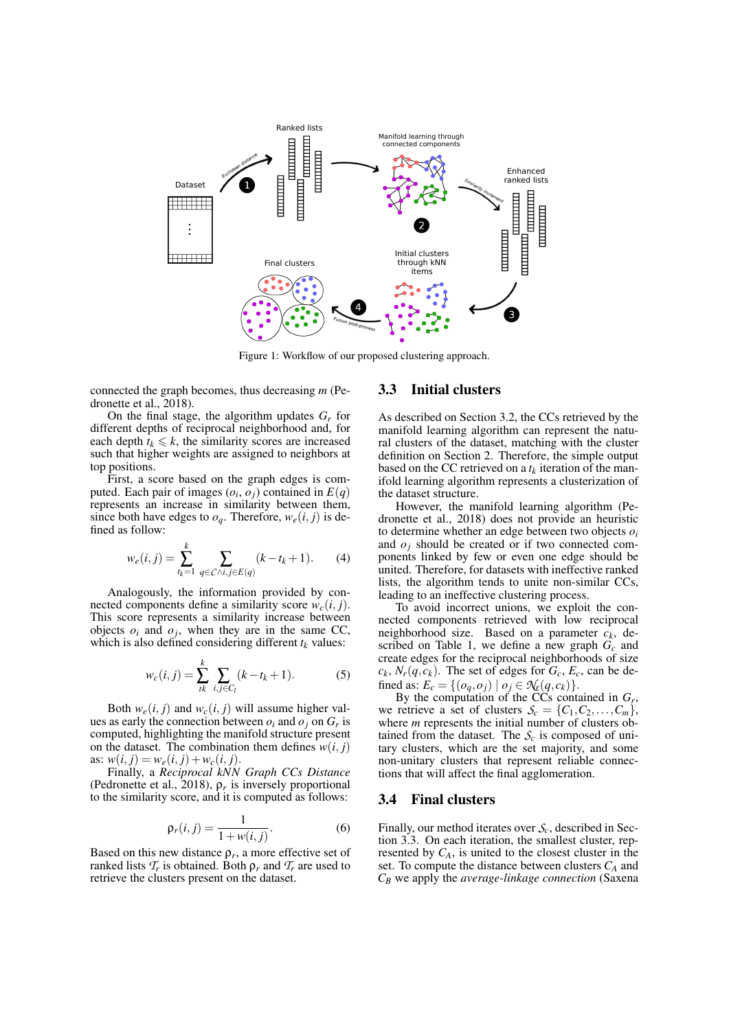

Figure 1: Workflow of our proposed clustering approach.

connected the graph becomes, thus decreasing *m* (Pedronette et al., 2018).

On the final stage, the algorithm updates  $G_r$  for different depths of reciprocal neighborhood and, for each depth  $t_k \leq k$ , the similarity scores are increased such that higher weights are assigned to neighbors at top positions.

First, a score based on the graph edges is computed. Each pair of images  $(o_i, o_j)$  contained in  $E(q)$ represents an increase in similarity between them, since both have edges to  $o_q$ . Therefore,  $w_e(i, j)$  is defined as follow:

$$
w_e(i,j) = \sum_{t_k=1}^k \sum_{q \in C \wedge i, j \in E(q)} (k - t_k + 1). \tag{4}
$$

Analogously, the information provided by connected components define a similarity score  $w_c(i, j)$ . This score represents a similarity increase between objects  $o_i$  and  $o_j$ , when they are in the same CC, which is also defined considering different  $t_k$  values:

$$
w_c(i,j) = \sum_{ik}^{k} \sum_{i,j \in C_l} (k - t_k + 1).
$$
 (5)

Both  $w_e(i, j)$  and  $w_c(i, j)$  will assume higher values as early the connection between  $o_i$  and  $o_j$  on  $G_r$  is computed, highlighting the manifold structure present on the dataset. The combination them defines  $w(i, j)$ as:  $w(i, j) = w_e(i, j) + w_c(i, j)$ .

Finally, a *Reciprocal kNN Graph CCs Distance* (Pedronette et al., 2018),  $\rho_r$  is inversely proportional to the similarity score, and it is computed as follows:

$$
\rho_r(i,j) = \frac{1}{1 + w(i,j)}.\tag{6}
$$

Based on this new distance  $\rho_r$ , a more effective set of ranked lists  $\mathcal{T}_r$  is obtained. Both  $\rho_r$  and  $\mathcal{T}_r$  are used to retrieve the clusters present on the dataset.

#### 3.3 Initial clusters

As described on Section 3.2, the CCs retrieved by the manifold learning algorithm can represent the natural clusters of the dataset, matching with the cluster definition on Section 2. Therefore, the simple output based on the CC retrieved on a  $t_k$  iteration of the manifold learning algorithm represents a clusterization of the dataset structure.

However, the manifold learning algorithm (Pedronette et al., 2018) does not provide an heuristic to determine whether an edge between two objects *o<sup>i</sup>* and  $o_i$  should be created or if two connected components linked by few or even one edge should be united. Therefore, for datasets with ineffective ranked lists, the algorithm tends to unite non-similar CCs, leading to an ineffective clustering process.

To avoid incorrect unions, we exploit the connected components retrieved with low reciprocal neighborhood size. Based on a parameter *ck*, described on Table 1, we define a new graph *G<sup>c</sup>* and create edges for the reciprocal neighborhoods of size  $c_k$ ,  $N_r(q, c_k)$ . The set of edges for  $G_c$ ,  $E_c$ , can be defined as:  $E_c = \{(o_q, o_j) | o_j \in \mathcal{N}_r(q, c_k)\}.$ 

By the computation of the CCs contained in  $G_r$ , we retrieve a set of clusters  $S_c = \{C_1, C_2, \ldots, C_m\}$ , where *m* represents the initial number of clusters obtained from the dataset. The  $S_c$  is composed of unitary clusters, which are the set majority, and some non-unitary clusters that represent reliable connections that will affect the final agglomeration.

#### 3.4 Final clusters

Finally, our method iterates over *Sc*, described in Section 3.3. On each iteration, the smallest cluster, represented by  $C_A$ , is united to the closest cluster in the set. To compute the distance between clusters *C<sup>A</sup>* and *C<sup>B</sup>* we apply the *average-linkage connection* (Saxena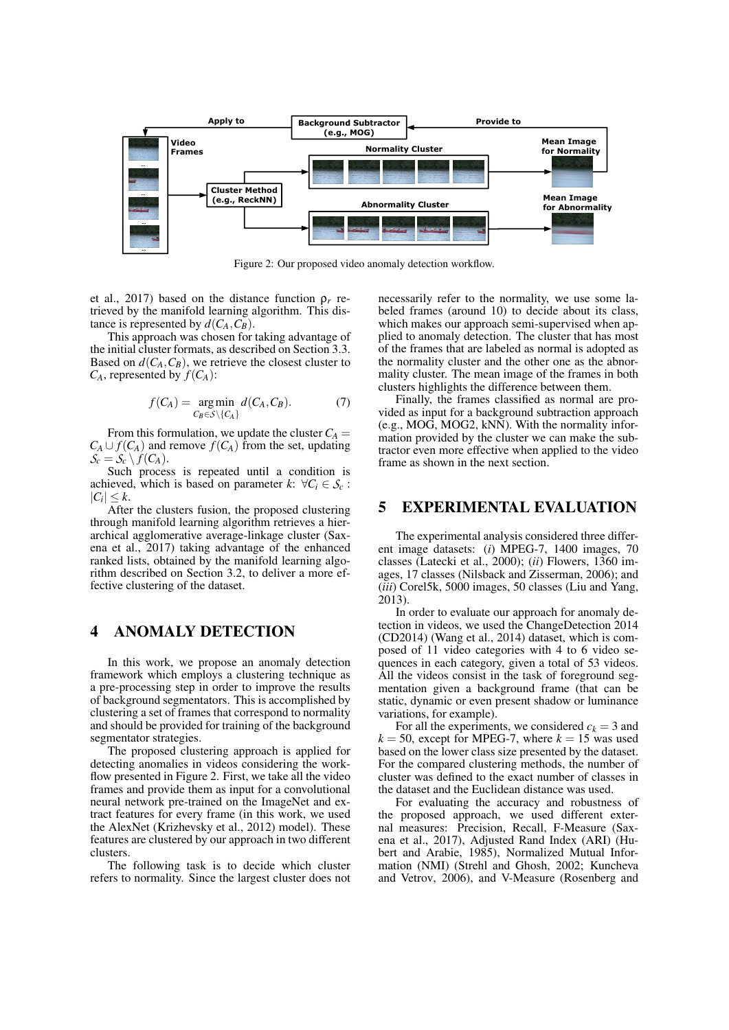

Figure 2: Our proposed video anomaly detection workflow.

et al., 2017) based on the distance function ρ*<sup>r</sup>* retrieved by the manifold learning algorithm. This distance is represented by  $d(C_A, C_B)$ .

This approach was chosen for taking advantage of the initial cluster formats, as described on Section 3.3. Based on  $d(C_A, C_B)$ , we retrieve the closest cluster to  $C_A$ , represented by  $f(C_A)$ :

$$
f(C_A) = \underset{C_B \in \mathcal{S} \setminus \{C_A\}}{\arg \min} d(C_A, C_B). \tag{7}
$$

From this formulation, we update the cluster  $C_A$  =  $C_A \cup f(C_A)$  and remove  $f(C_A)$  from the set, updating  $S_c = S_c \setminus f(C_A)$ .

Such process is repeated until a condition is achieved, which is based on parameter  $k: \forall C_i \in S_c$ :  $|C_i| \leq k$ .

After the clusters fusion, the proposed clustering through manifold learning algorithm retrieves a hierarchical agglomerative average-linkage cluster (Saxena et al., 2017) taking advantage of the enhanced ranked lists, obtained by the manifold learning algorithm described on Section 3.2, to deliver a more effective clustering of the dataset.

## 4 ANOMALY DETECTION

In this work, we propose an anomaly detection framework which employs a clustering technique as a pre-processing step in order to improve the results of background segmentators. This is accomplished by clustering a set of frames that correspond to normality and should be provided for training of the background segmentator strategies.

The proposed clustering approach is applied for detecting anomalies in videos considering the workflow presented in Figure 2. First, we take all the video frames and provide them as input for a convolutional neural network pre-trained on the ImageNet and extract features for every frame (in this work, we used the AlexNet (Krizhevsky et al., 2012) model). These features are clustered by our approach in two different clusters.

The following task is to decide which cluster refers to normality. Since the largest cluster does not necessarily refer to the normality, we use some labeled frames (around 10) to decide about its class, which makes our approach semi-supervised when applied to anomaly detection. The cluster that has most of the frames that are labeled as normal is adopted as the normality cluster and the other one as the abnormality cluster. The mean image of the frames in both clusters highlights the difference between them.

Finally, the frames classified as normal are provided as input for a background subtraction approach (e.g., MOG, MOG2, kNN). With the normality information provided by the cluster we can make the subtractor even more effective when applied to the video frame as shown in the next section.

### 5 EXPERIMENTAL EVALUATION

The experimental analysis considered three different image datasets: (*i*) MPEG-7, 1400 images, 70 classes (Latecki et al., 2000); (*ii*) Flowers, 1360 images, 17 classes (Nilsback and Zisserman, 2006); and (*iii*) Corel5k, 5000 images, 50 classes (Liu and Yang, 2013).

In order to evaluate our approach for anomaly detection in videos, we used the ChangeDetection 2014 (CD2014) (Wang et al., 2014) dataset, which is composed of 11 video categories with 4 to 6 video sequences in each category, given a total of 53 videos. All the videos consist in the task of foreground segmentation given a background frame (that can be static, dynamic or even present shadow or luminance variations, for example).

For all the experiments, we considered  $c_k = 3$  and  $k = 50$ , except for MPEG-7, where  $k = 15$  was used based on the lower class size presented by the dataset. For the compared clustering methods, the number of cluster was defined to the exact number of classes in the dataset and the Euclidean distance was used.

For evaluating the accuracy and robustness of the proposed approach, we used different external measures: Precision, Recall, F-Measure (Saxena et al., 2017), Adjusted Rand Index (ARI) (Hubert and Arabie, 1985), Normalized Mutual Information (NMI) (Strehl and Ghosh, 2002; Kuncheva and Vetrov, 2006), and V-Measure (Rosenberg and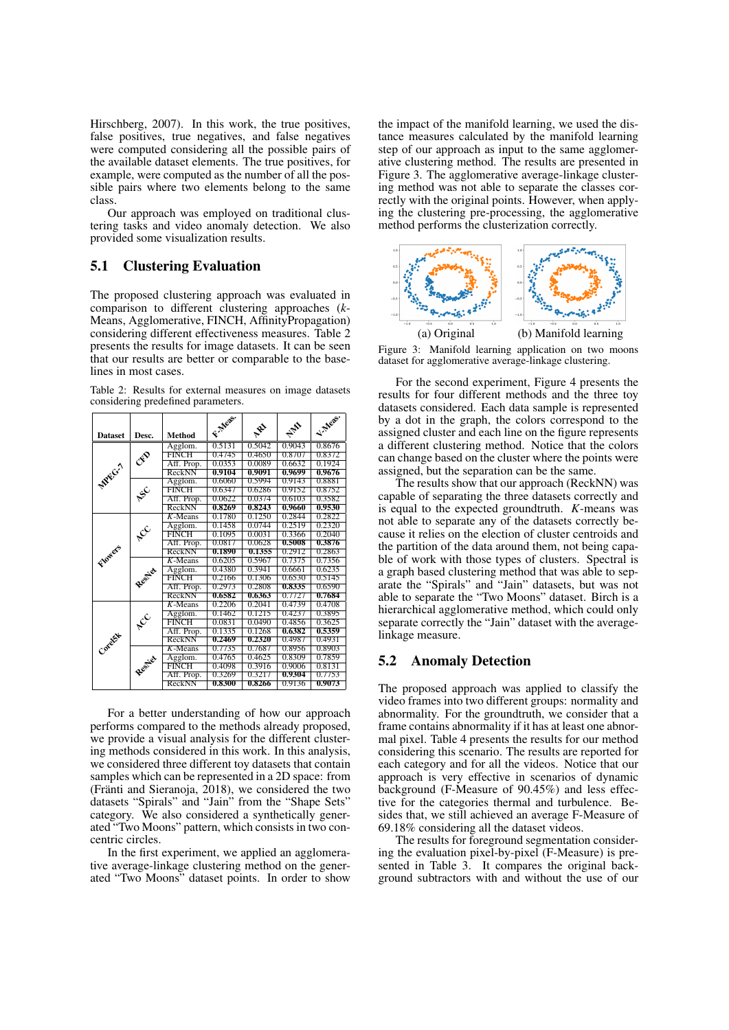Hirschberg, 2007). In this work, the true positives, false positives, true negatives, and false negatives were computed considering all the possible pairs of the available dataset elements. The true positives, for example, were computed as the number of all the possible pairs where two elements belong to the same class.

Our approach was employed on traditional clustering tasks and video anomaly detection. We also provided some visualization results.

## 5.1 Clustering Evaluation

The proposed clustering approach was evaluated in comparison to different clustering approaches (*k*-Means, Agglomerative, FINCH, AffinityPropagation) considering different effectiveness measures. Table 2 presents the results for image datasets. It can be seen that our results are better or comparable to the baselines in most cases.

Table 2: Results for external measures on image datasets considering predefined parameters.

|                |                            |               | F. Meas. |        |            | V. Meas. |
|----------------|----------------------------|---------------|----------|--------|------------|----------|
| <b>Dataset</b> | Desc.                      | <b>Method</b> |          | $x^2$  | <b>HAD</b> |          |
| MPFG.7         |                            | Agglom.       | 0.5131   | 0.5042 | 0.9043     | 0.8676   |
|                | cro                        | FINCH         | 0.4745   | 0.4650 | 0.8707     | 0.8372   |
|                |                            | Aff. Prop.    | 0.0353   | 0.0089 | 0.6632     | 0.1924   |
|                |                            | ReckNN        | 0.9104   | 0.9091 | 0.9699     | 0.9676   |
|                |                            | Agglom.       | 0.6060   | 0.5994 | 0.9143     | 0.8881   |
|                | $\mathbf{x}^{\mathcal{C}}$ | <b>FINCH</b>  | 0.6347   | 0.6286 | 0.9152     | 0.8752   |
|                |                            | Aff. Prop.    | 0.0622   | 0.0374 | 0.6103     | 0.3582   |
|                |                            | ReckNN        | 0.8269   | 0.8243 | 0.9660     | 0.9530   |
|                |                            | $K$ -Means    | 0.1780   | 0.1250 | 0.2844     | 0.2822   |
|                |                            | Agglom.       | 0.1458   | 0.0744 | 0.2519     | 0.2320   |
|                | $\mathbf{x}^{\mathbf{C}}$  | FINCH         | 0.1095   | 0.0031 | 0.3366     | 0.2040   |
|                |                            | Aff. Prop.    | 0.0817   | 0.0628 | 0.5008     | 0.3876   |
| Flowers        |                            | ReckNN        | 0.1890   | 0.1355 | 0.2912     | 0.2863   |
|                |                            | $K$ -Means    | 0.6205   | 0.5967 | 0.7375     | 0.7356   |
|                | Resilier                   | Agglom.       | 0.4380   | 0.3941 | 0.6661     | 0.6235   |
|                |                            | <b>FINCH</b>  | 0.2166   | 0.1306 | 0.6530     | 0.5145   |
|                |                            | Aff. Prop.    | 0.2973   | 0.2808 | 0.8335     | 0.6590   |
|                |                            | ReckNN        | 0.6582   | 0.6363 | 0.7727     | 0.7684   |
|                | RC                         | $K$ -Means    | 0.2206   | 0.2041 | 0.4739     | 0.4708   |
| Corelsk        |                            | Agglom.       | 0.1462   | 0.1215 | 0.4237     | 0.3895   |
|                |                            | FINCH         | 0.0831   | 0.0490 | 0.4856     | 0.3625   |
|                |                            | Aff. Prop.    | 0.1335   | 0.1268 | 0.6382     | 0.5359   |
|                |                            | ReckNN        | 0.2469   | 0.2320 | 0.4987     | 0.4931   |
|                | Resider                    | $K$ -Means    | 0.7735   | 0.7687 | 0.8956     | 0.8903   |
|                |                            | Agglom.       | 0.4765   | 0.4625 | 0.8309     | 0.7859   |
|                |                            | <b>FINCH</b>  | 0.4098   | 0.3916 | 0.9006     | 0.8131   |
|                |                            | Aff. Prop.    | 0.3269   | 0.3217 | 0.9304     | 0.7753   |
|                |                            | ReckNN        | 0.8300   | 0.8266 | 0.9136     | 0.9073   |

For a better understanding of how our approach performs compared to the methods already proposed, we provide a visual analysis for the different clustering methods considered in this work. In this analysis, we considered three different toy datasets that contain samples which can be represented in a 2D space: from (Fränti and Sieranoja, 2018), we considered the two datasets "Spirals" and "Jain" from the "Shape Sets" category. We also considered a synthetically generated "Two Moons" pattern, which consists in two concentric circles.

In the first experiment, we applied an agglomerative average-linkage clustering method on the generated "Two Moons" dataset points. In order to show

the impact of the manifold learning, we used the distance measures calculated by the manifold learning step of our approach as input to the same agglomerative clustering method. The results are presented in Figure 3. The agglomerative average-linkage clustering method was not able to separate the classes correctly with the original points. However, when applying the clustering pre-processing, the agglomerative method performs the clusterization correctly.



Figure 3: Manifold learning application on two moons dataset for agglomerative average-linkage clustering.

For the second experiment, Figure 4 presents the results for four different methods and the three toy datasets considered. Each data sample is represented by a dot in the graph, the colors correspond to the assigned cluster and each line on the figure represents a different clustering method. Notice that the colors can change based on the cluster where the points were assigned, but the separation can be the same.

The results show that our approach (ReckNN) was capable of separating the three datasets correctly and is equal to the expected groundtruth. *K*-means was not able to separate any of the datasets correctly because it relies on the election of cluster centroids and the partition of the data around them, not being capable of work with those types of clusters. Spectral is a graph based clustering method that was able to separate the "Spirals" and "Jain" datasets, but was not able to separate the "Two Moons" dataset. Birch is a hierarchical agglomerative method, which could only separate correctly the "Jain" dataset with the averagelinkage measure.

### 5.2 Anomaly Detection

The proposed approach was applied to classify the video frames into two different groups: normality and abnormality. For the groundtruth, we consider that a frame contains abnormality if it has at least one abnormal pixel. Table 4 presents the results for our method considering this scenario. The results are reported for each category and for all the videos. Notice that our approach is very effective in scenarios of dynamic background (F-Measure of 90.45%) and less effective for the categories thermal and turbulence. Besides that, we still achieved an average F-Measure of 69.18% considering all the dataset videos.

The results for foreground segmentation considering the evaluation pixel-by-pixel (F-Measure) is presented in Table 3. It compares the original background subtractors with and without the use of our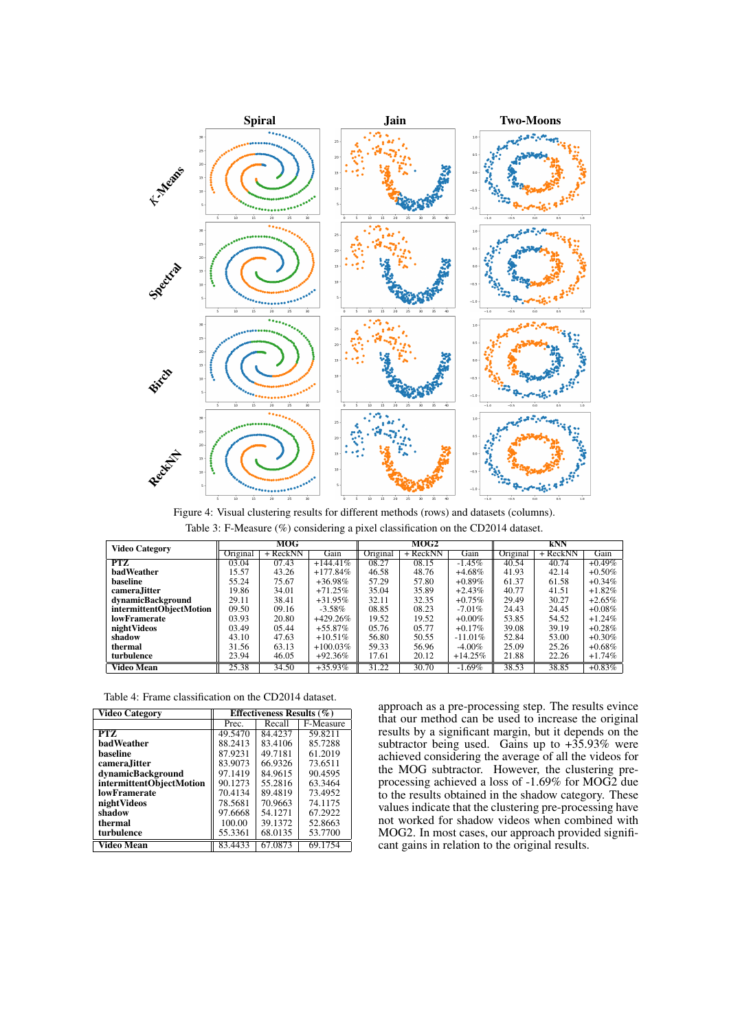

Figure 4: Visual clustering results for different methods (rows) and datasets (columns). Table 3: F-Measure (%) considering a pixel classification on the CD2014 dataset.

|                          | MOG      |            | MOG2        |          |          | kNN        |          |            |           |
|--------------------------|----------|------------|-------------|----------|----------|------------|----------|------------|-----------|
| <b>Video Category</b>    | Original | $+$ ReckNN | Gain        | Original | + ReckNN | Gain       | Original | $+$ ReckNN | Gain      |
| <b>PTZ</b>               | 03.04    | 07.43      | $+144.41\%$ | 08.27    | 08.15    | $-1.45\%$  | 40.54    | 40.74      | $+0.49\%$ |
| <b>hadWeather</b>        | 15.57    | 43.26      | $+177.84%$  | 46.58    | 48.76    | $+4.68\%$  | 41.93    | 42.14      | $+0.50\%$ |
| baseline                 | 55.24    | 75.67      | $+36.98\%$  | 57.29    | 57.80    | $+0.89\%$  | 61.37    | 61.58      | $+0.34\%$ |
| camera.Iitter            | 19.86    | 34.01      | $+71.25\%$  | 35.04    | 35.89    | $+2.43%$   | 40.77    | 41.51      | $+1.82\%$ |
| dynamicBackground        | 29.11    | 38.41      | $+31.95\%$  | 32.11    | 32.35    | $+0.75\%$  | 29.49    | 30.27      | $+2.65%$  |
| intermittentObjectMotion | 09.50    | 09.16      | $-3.58\%$   | 08.85    | 08.23    | $-7.01\%$  | 24.43    | 24.45      | $+0.08\%$ |
| lowFramerate             | 03.93    | 20.80      | $+429.26%$  | 19.52    | 19.52    | $+0.00\%$  | 53.85    | 54.52      | $+1.24%$  |
| nightVideos              | 03.49    | 05.44      | $+55.87\%$  | 05.76    | 05.77    | $+0.17%$   | 39.08    | 39.19      | $+0.28\%$ |
| shadow                   | 43.10    | 47.63      | $+10.51\%$  | 56.80    | 50.55    | $-11.01\%$ | 52.84    | 53.00      | $+0.30\%$ |
| thermal                  | 31.56    | 63.13      | $+100.03\%$ | 59.33    | 56.96    | $-4.00\%$  | 25.09    | 25.26      | $+0.68\%$ |
| turbulence               | 23.94    | 46.05      | $+92.36%$   | 17.61    | 20.12    | $+14.25%$  | 21.88    | 22.26      | $+1.74%$  |
| <b>Video Mean</b>        | 25.38    | 34.50      | $+35.93\%$  | 31.22    | 30.70    | $-1.69\%$  | 38.53    | 38.85      | $+0.83\%$ |

Table 4: Frame classification on the CD2014 dataset.

| <b>Video Category</b>    | Effectiveness Results $(\% )$ |         |           |  |  |
|--------------------------|-------------------------------|---------|-----------|--|--|
|                          | Prec.                         | Recall  | F-Measure |  |  |
| PTZ                      | 49.5470                       | 84.4237 | 59.8211   |  |  |
| <b>badWeather</b>        | 88.2413                       | 83.4106 | 85.7288   |  |  |
| baseline                 | 87.9231                       | 49.7181 | 61.2019   |  |  |
| camera, Jitter           | 83.9073                       | 66.9326 | 73.6511   |  |  |
| dynamicBackground        | 97.1419                       | 84.9615 | 90.4595   |  |  |
| intermittentObjectMotion | 90.1273                       | 55.2816 | 63.3464   |  |  |
| <b>lowFramerate</b>      | 70.4134                       | 89.4819 | 73.4952   |  |  |
| nightVideos              | 78.5681                       | 70.9663 | 74.1175   |  |  |
| shadow                   | 97.6668                       | 54.1271 | 67.2922   |  |  |
| thermal                  | 100.00                        | 39.1372 | 52.8663   |  |  |
| turbulence               | 55.3361                       | 68.0135 | 53.7700   |  |  |
| Video Mean               | 83.4433                       | 67.0873 | 69.1754   |  |  |

approach as a pre-processing step. The results evince that our method can be used to increase the original results by a significant margin, but it depends on the subtractor being used. Gains up to +35.93% were achieved considering the average of all the videos for the MOG subtractor. However, the clustering preprocessing achieved a loss of -1.69% for MOG2 due to the results obtained in the shadow category. These values indicate that the clustering pre-processing have not worked for shadow videos when combined with MOG2. In most cases, our approach provided significant gains in relation to the original results.